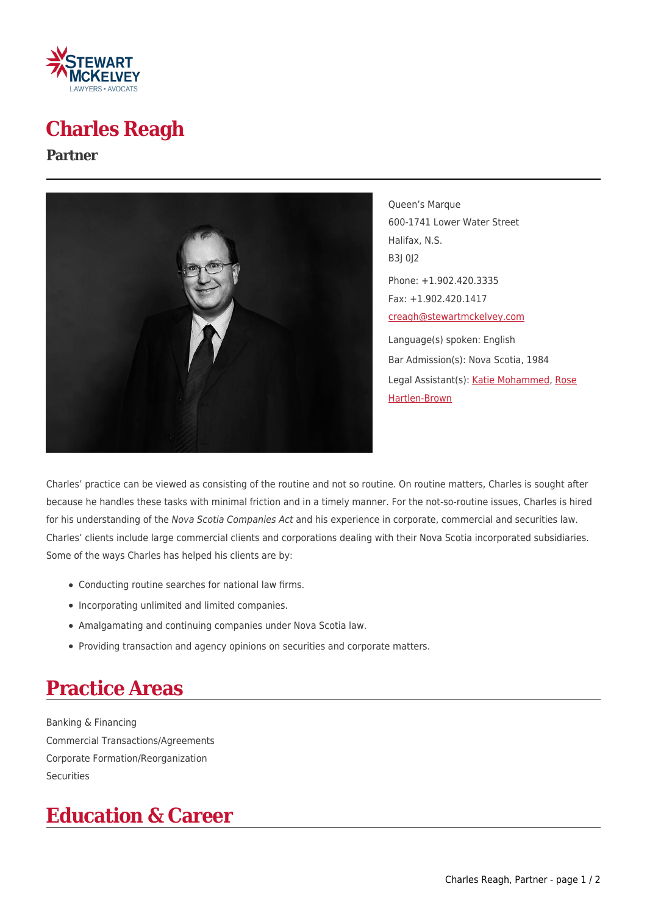

## **Charles Reagh**

#### **Partner**



Queen's Marque 600-1741 Lower Water Street Halifax, N.S. B3J 0J2 Phone: +1.902.420.3335 Fax: +1.902.420.1417 [creagh@stewartmckelvey.com](mailto:creagh@stewartmckelvey.com) Language(s) spoken: English Bar Admission(s): Nova Scotia, 1984 Legal Assistant(s): [Katie Mohammed,](https://www.stewartmckelvey.com/legal_assistant/mohammed-katie) [Rose](https://www.stewartmckelvey.com/legal_assistant/rose-hartlen-brown) [Hartlen-Brown](https://www.stewartmckelvey.com/legal_assistant/rose-hartlen-brown)

Charles' practice can be viewed as consisting of the routine and not so routine. On routine matters, Charles is sought after because he handles these tasks with minimal friction and in a timely manner. For the not-so-routine issues, Charles is hired for his understanding of the Nova Scotia Companies Act and his experience in corporate, commercial and securities law. Charles' clients include large commercial clients and corporations dealing with their Nova Scotia incorporated subsidiaries. Some of the ways Charles has helped his clients are by:

- Conducting routine searches for national law firms.
- Incorporating unlimited and limited companies.
- Amalgamating and continuing companies under Nova Scotia law.
- Providing transaction and agency opinions on securities and corporate matters.

# **Practice Areas**

Banking & Financing Commercial Transactions/Agreements Corporate Formation/Reorganization Securities

## **Education & Career**